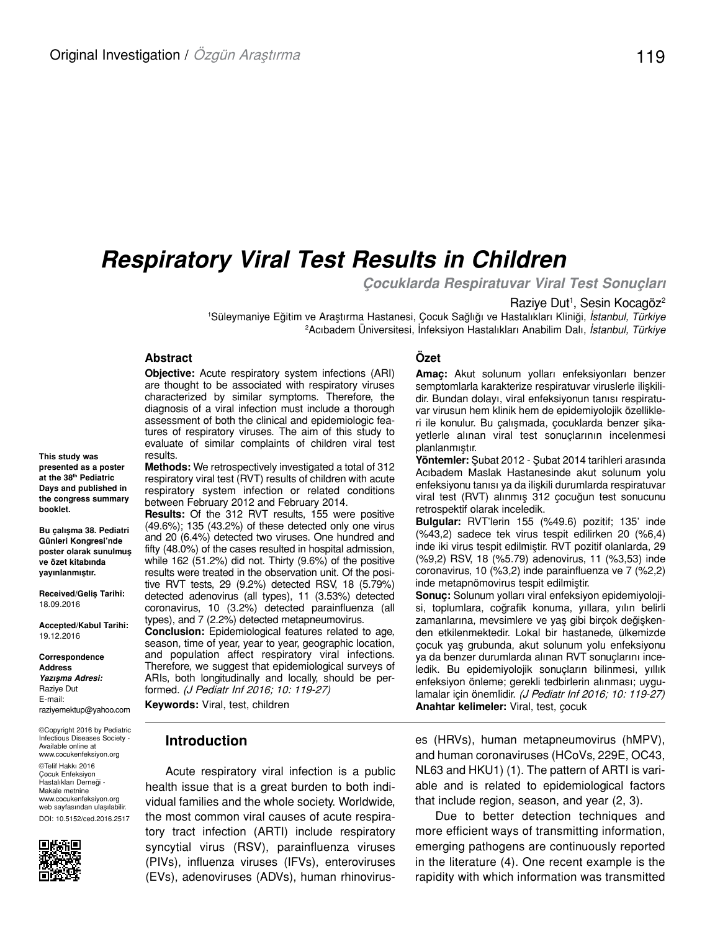# *Respiratory Viral Test Results in Children*

*Çocuklarda Respiratuvar Viral Test Sonuçları*

#### Raziye Dut<sup>1</sup>, Sesin Kocagöz<sup>2</sup>

1 Süleymaniye Eğitim ve Araştırma Hastanesi, Çocuk Sağlığı ve Hastalıkları Kliniği, *İstanbul, Türkiye* 2 Acıbadem Üniversitesi, İnfeksiyon Hastalıkları Anabilim Dalı, *İstanbul, Türkiye*

#### **Abstract**

**Objective:** Acute respiratory system infections (ARI) are thought to be associated with respiratory viruses characterized by similar symptoms. Therefore, the diagnosis of a viral infection must include a thorough assessment of both the clinical and epidemiologic features of respiratory viruses. The aim of this study to evaluate of similar complaints of children viral test results.

**Methods:** We retrospectively investigated a total of 312 respiratory viral test (RVT) results of children with acute respiratory system infection or related conditions between February 2012 and February 2014.

**Results:** Of the 312 RVT results, 155 were positive (49.6%); 135 (43.2%) of these detected only one virus and 20 (6.4%) detected two viruses. One hundred and fifty (48.0%) of the cases resulted in hospital admission, while 162 (51.2%) did not. Thirty (9.6%) of the positive results were treated in the observation unit. Of the positive RVT tests, 29 (9.2%) detected RSV, 18 (5.79%) detected adenovirus (all types), 11 (3.53%) detected coronavirus, 10 (3.2%) detected parainfluenza (all types), and 7 (2.2%) detected metapneumovirus.

**Conclusion:** Epidemiological features related to age, season, time of year, year to year, geographic location, and population affect respiratory viral infections. Therefore, we suggest that epidemiological surveys of ARIs, both longitudinally and locally, should be performed. (J Pediatr Inf 2016; 10: 119-27)

**Keywords:** Viral, test, children

### **Introduction**

Acute respiratory viral infection is a public health issue that is a great burden to both individual families and the whole society. Worldwide, the most common viral causes of acute respiratory tract infection (ARTI) include respiratory syncytial virus (RSV), parainfluenza viruses (PIVs), influenza viruses (IFVs), enteroviruses (EVs), adenoviruses (ADVs), human rhinovirus-

#### **Özet**

**Amaç:** Akut solunum yolları enfeksiyonları benzer semptomlarla karakterize respiratuvar viruslerle ilişkilidir. Bundan dolayı, viral enfeksiyonun tanısı respiratuvar virusun hem klinik hem de epidemiyolojik özellikleri ile konulur. Bu çalışmada, çocuklarda benzer şikayetlerle alınan viral test sonuçlarının incelenmesi planlanmıştır.

**Yöntemler:** Şubat 2012 - Şubat 2014 tarihleri arasında Acıbadem Maslak Hastanesinde akut solunum yolu enfeksiyonu tanısı ya da ilişkili durumlarda respiratuvar viral test (RVT) alınmış 312 çocuğun test sonucunu retrospektif olarak inceledik.

**Bulgular:** RVT'lerin 155 (%49.6) pozitif; 135' inde (%43,2) sadece tek virus tespit edilirken 20 (%6,4) inde iki virus tespit edilmiştir. RVT pozitif olanlarda, 29 (%9,2) RSV, 18 (%5.79) adenovirus, 11 (%3,53) inde coronavirus, 10 (%3,2) inde parainfluenza ve 7 (%2,2) inde metapnömovirus tespit edilmiştir.

**Sonuç:** Solunum yolları viral enfeksiyon epidemiyolojisi, toplumlara, coğrafik konuma, yıllara, yılın belirli zamanlarına, mevsimlere ve yaş gibi birçok değişkenden etkilenmektedir. Lokal bir hastanede, ülkemizde çocuk yaş grubunda, akut solunum yolu enfeksiyonu ya da benzer durumlarda alınan RVT sonuçlarını inceledik. Bu epidemiyolojik sonuçların bilinmesi, yıllık enfeksiyon önleme; gerekli tedbirlerin alınması; uygulamalar için önemlidir. (J Pediatr Inf 2016; 10: 119-27) **Anahtar kelimeler:** Viral, test, çocuk

es (HRVs), human metapneumovirus (hMPV), and human coronaviruses (HCoVs, 229E, OC43, NL63 and HKU1) (1). The pattern of ARTI is variable and is related to epidemiological factors that include region, season, and year (2, 3).

Due to better detection techniques and more efficient ways of transmitting information, emerging pathogens are continuously reported in the literature (4). One recent example is the rapidity with which information was transmitted

**This study was presented as a poster at the 38th Pediatric Days and published in the congress summary booklet.**

**Bu çalışma 38. Pediatri Günleri Kongresi'nde poster olarak sunulmuş ve özet kitabında yayınlanmıştır.**

**Received/Geliş Tarihi:**  18.09.2016

**Accepted/Kabul Tarihi:** 19.12.2016

**Correspondence Address** *Yazışma Adresi:* Raziye Dut E-mail: raziyemektup@yahoo.com

©Copyright 2016 by Pediatric Infectious Diseases Society - Available online at www.cocukenfeksiyon.org ©Telif Hakkı 2016 Çocuk Enfeksiyon Hastalıkları Derneği - Makale metnine www.cocukenfeksiyon.org web sayfasından ulaşılabilir. DOI: 10.5152/ced.2016.2517

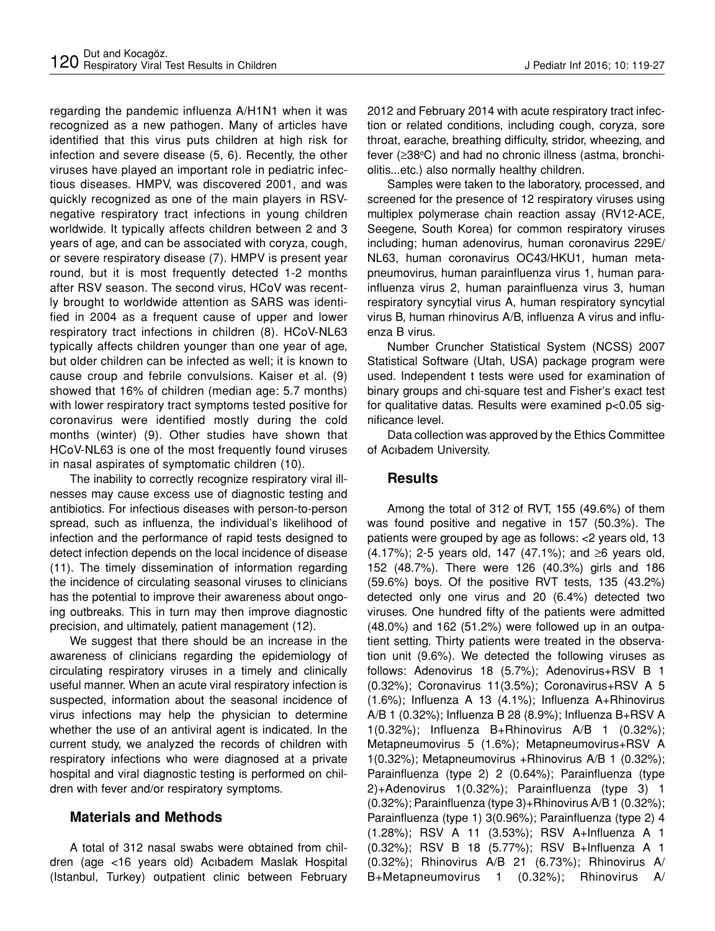regarding the pandemic influenza A/H1N1 when it was recognized as a new pathogen. Many of articles have identified that this virus puts children at high risk for infection and severe disease (5, 6). Recently, the other viruses have played an important role in pediatric infectious diseases. HMPV, was discovered 2001, and was quickly recognized as one of the main players in RSVnegative respiratory tract infections in young children worldwide. It typically affects children between 2 and 3 years of age, and can be associated with coryza, cough, or severe respiratory disease (7). HMPV is present year round, but it is most frequently detected 1-2 months after RSV season. The second virus, HCoV was recently brought to worldwide attention as SARS was identified in 2004 as a frequent cause of upper and lower respiratory tract infections in children (8). HCoV-NL63 typically affects children younger than one year of age, but older children can be infected as well; it is known to cause croup and febrile convulsions. Kaiser et al. (9) showed that 16% of children (median age: 5.7 months) with lower respiratory tract symptoms tested positive for coronavirus were identified mostly during the cold months (winter) (9). Other studies have shown that HCoV-NL63 is one of the most frequently found viruses in nasal aspirates of symptomatic children (10).

The inability to correctly recognize respiratory viral illnesses may cause excess use of diagnostic testing and antibiotics. For infectious diseases with person-to-person spread, such as influenza, the individual's likelihood of infection and the performance of rapid tests designed to detect infection depends on the local incidence of disease (11). The timely dissemination of information regarding the incidence of circulating seasonal viruses to clinicians has the potential to improve their awareness about ongoing outbreaks. This in turn may then improve diagnostic precision, and ultimately, patient management (12).

We suggest that there should be an increase in the awareness of clinicians regarding the epidemiology of circulating respiratory viruses in a timely and clinically useful manner. When an acute viral respiratory infection is suspected, information about the seasonal incidence of virus infections may help the physician to determine whether the use of an antiviral agent is indicated. In the current study, we analyzed the records of children with respiratory infections who were diagnosed at a private hospital and viral diagnostic testing is performed on children with fever and/or respiratory symptoms.

### **Materials and Methods**

A total of 312 nasal swabs were obtained from children (age <16 years old) Acıbadem Maslak Hospital (Istanbul, Turkey) outpatient clinic between February 2012 and February 2014 with acute respiratory tract infection or related conditions, including cough, coryza, sore throat, earache, breathing difficulty, stridor, wheezing, and fever (≥38°C) and had no chronic illness (astma, bronchiolitis...etc.) also normally healthy children.

Samples were taken to the laboratory, processed, and screened for the presence of 12 respiratory viruses using multiplex polymerase chain reaction assay (RV12-ACE, Seegene, South Korea) for common respiratory viruses including; human adenovirus, human coronavirus 229E/ NL63, human coronavirus OC43/HKU1, human metapneumovirus, human parainfluenza virus 1, human parainfluenza virus 2, human parainfluenza virus 3, human respiratory syncytial virus A, human respiratory syncytial virus B, human rhinovirus A/B, influenza A virus and influenza B virus.

Number Cruncher Statistical System (NCSS) 2007 Statistical Software (Utah, USA) package program were used. Independent t tests were used for examination of binary groups and chi-square test and Fisher's exact test for qualitative datas. Results were examined p<0.05 significance level.

Data collection was approved by the Ethics Committee of Acıbadem University.

## **Results**

Among the total of 312 of RVT, 155 (49.6%) of them was found positive and negative in 157 (50.3%). The patients were grouped by age as follows: <2 years old, 13 (4.17%); 2-5 years old, 147 (47.1%); and ≥6 years old, 152 (48.7%). There were 126 (40.3%) girls and 186 (59.6%) boys. Of the positive RVT tests, 135 (43.2%) detected only one virus and 20 (6.4%) detected two viruses. One hundred fifty of the patients were admitted (48.0%) and 162 (51.2%) were followed up in an outpatient setting. Thirty patients were treated in the observation unit (9.6%). We detected the following viruses as follows: Adenovirus 18 (5.7%); Adenovirus+RSV B 1 (0.32%); Coronavirus 11(3.5%); Coronavirus+RSV A 5 (1.6%); Influenza A 13 (4.1%); Influenza A+Rhinovirus A/B 1 (0.32%); Influenza B 28 (8.9%); Influenza B+RSV A 1(0.32%); Influenza B+Rhinovirus A/B 1 (0.32%); Metapneumovirus 5 (1.6%); Metapneumovirus+RSV A 1(0.32%); Metapneumovirus +Rhinovirus A/B 1 (0.32%); Parainfluenza (type 2) 2 (0.64%); Parainfluenza (type 2)+Adenovirus 1(0.32%); Parainfluenza (type 3) 1 (0.32%); Parainfluenza (type 3)+Rhinovirus A/B 1 (0.32%); Parainfluenza (type 1) 3(0.96%); Parainfluenza (type 2) 4 (1.28%); RSV A 11 (3.53%); RSV A+Influenza A 1 (0.32%); RSV B 18 (5.77%); RSV B+Influenza A 1 (0.32%); Rhinovirus A/B 21 (6.73%); Rhinovirus A/ B+Metapneumovirus 1 (0.32%); Rhinovirus A/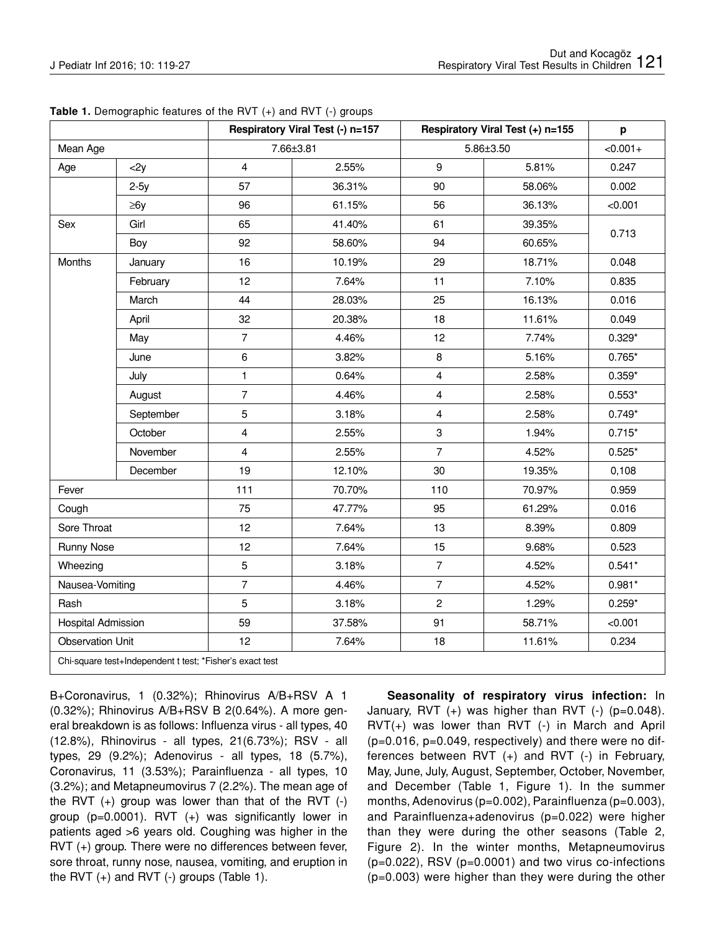|                           |                                                          |                | Respiratory Viral Test (-) n=157 | Respiratory Viral Test (+) n=155 | p           |          |
|---------------------------|----------------------------------------------------------|----------------|----------------------------------|----------------------------------|-------------|----------|
| Mean Age                  |                                                          |                | 7.66±3.81                        | 5.86±3.50                        | $< 0.001 +$ |          |
| Age                       | 2y                                                       | $\overline{4}$ | 2.55%                            | 9                                | 5.81%       | 0.247    |
|                           | $2-5y$                                                   | 57             | 36.31%                           | 90                               | 58.06%      | 0.002    |
|                           | $\geq 6$ y                                               | 96             | 61.15%                           | 56                               | 36.13%      | < 0.001  |
| Sex                       | Girl                                                     | 65             | 41.40%                           | 61                               | 39.35%      | 0.713    |
|                           | Boy                                                      | 92             | 58.60%                           | 94                               | 60.65%      |          |
| Months                    | January                                                  | 16             | 10.19%                           | 29                               | 18.71%      | 0.048    |
|                           | February                                                 | 12             | 7.64%                            | 11                               | 7.10%       | 0.835    |
|                           | March                                                    | 44             | 28.03%                           | 25                               | 16.13%      | 0.016    |
|                           | April                                                    | 32             | 20.38%                           | 18                               | 11.61%      | 0.049    |
|                           | May                                                      | $\overline{7}$ | 4.46%                            | 12                               | 7.74%       | $0.329*$ |
|                           | June                                                     | 6              | 3.82%                            | $\bf 8$                          | 5.16%       | $0.765*$ |
|                           | July                                                     | 1              | 0.64%                            | $\overline{4}$                   | 2.58%       | $0.359*$ |
|                           | August                                                   | $\overline{7}$ | 4.46%                            | $\overline{4}$                   | 2.58%       | $0.553*$ |
|                           | September                                                | 5              | 3.18%                            | $\overline{4}$                   | 2.58%       | $0.749*$ |
|                           | October                                                  | 4              | 2.55%                            | $\mathbf 3$                      | 1.94%       | $0.715*$ |
|                           | November                                                 | $\overline{4}$ | 2.55%                            | $\overline{7}$                   | 4.52%       | $0.525*$ |
|                           | December                                                 | 19             | 12.10%                           | 30                               | 19.35%      | 0,108    |
| Fever                     |                                                          | 111            | 70.70%                           | 110                              | 70.97%      | 0.959    |
| Cough                     |                                                          | 75             | 47.77%                           | 95                               | 61.29%      | 0.016    |
| Sore Throat               |                                                          | 12             | 7.64%                            | 13                               | 8.39%       |          |
| Runny Nose                |                                                          | 12             | 7.64%                            | 15<br>9.68%                      |             | 0.523    |
| Wheezing                  |                                                          | 5              | 3.18%                            | $\overline{7}$<br>4.52%          |             | $0.541*$ |
| Nausea-Vomiting           |                                                          | $\overline{7}$ | 4.46%                            | $\overline{7}$<br>4.52%          |             | $0.981*$ |
| Rash                      |                                                          | 5              | 3.18%                            | $\overline{2}$<br>1.29%          |             | $0.259*$ |
| <b>Hospital Admission</b> |                                                          | 59             | 37.58%                           | 91<br>58.71%                     |             | < 0.001  |
| <b>Observation Unit</b>   |                                                          | 12             | 7.64%                            | 18                               | 11.61%      | 0.234    |
|                           | Chi-square test+Independent t test; *Fisher's exact test |                |                                  |                                  |             |          |

**Table 1.** Demographic features of the RVT (+) and RVT (-) groups

B+Coronavirus, 1 (0.32%); Rhinovirus A/B+RSV A 1 (0.32%); Rhinovirus A/B+RSV B 2(0.64%). A more general breakdown is as follows: Influenza virus - all types, 40 (12.8%), Rhinovirus - all types, 21(6.73%); RSV - all types, 29 (9.2%); Adenovirus - all types, 18 (5.7%), Coronavirus, 11 (3.53%); Parainfluenza - all types, 10 (3.2%); and Metapneumovirus 7 (2.2%). The mean age of the RVT  $(+)$  group was lower than that of the RVT  $(-)$ group (p=0.0001). RVT (+) was significantly lower in patients aged >6 years old. Coughing was higher in the RVT (+) group. There were no differences between fever, sore throat, runny nose, nausea, vomiting, and eruption in the RVT  $(+)$  and RVT  $(-)$  groups (Table 1).

**Seasonality of respiratory virus infection:** In January, RVT  $(+)$  was higher than RVT  $(-)$  (p=0.048). RVT(+) was lower than RVT (-) in March and April  $(p=0.016, p=0.049, respectively)$  and there were no differences between RVT (+) and RVT (-) in February, May, June, July, August, September, October, November, and December (Table 1, Figure 1). In the summer months, Adenovirus (p=0.002), Parainfluenza (p=0.003), and Parainfluenza+adenovirus (p=0.022) were higher than they were during the other seasons (Table 2, Figure 2). In the winter months, Metapneumovirus  $(p=0.022)$ , RSV  $(p=0.0001)$  and two virus co-infections (p=0.003) were higher than they were during the other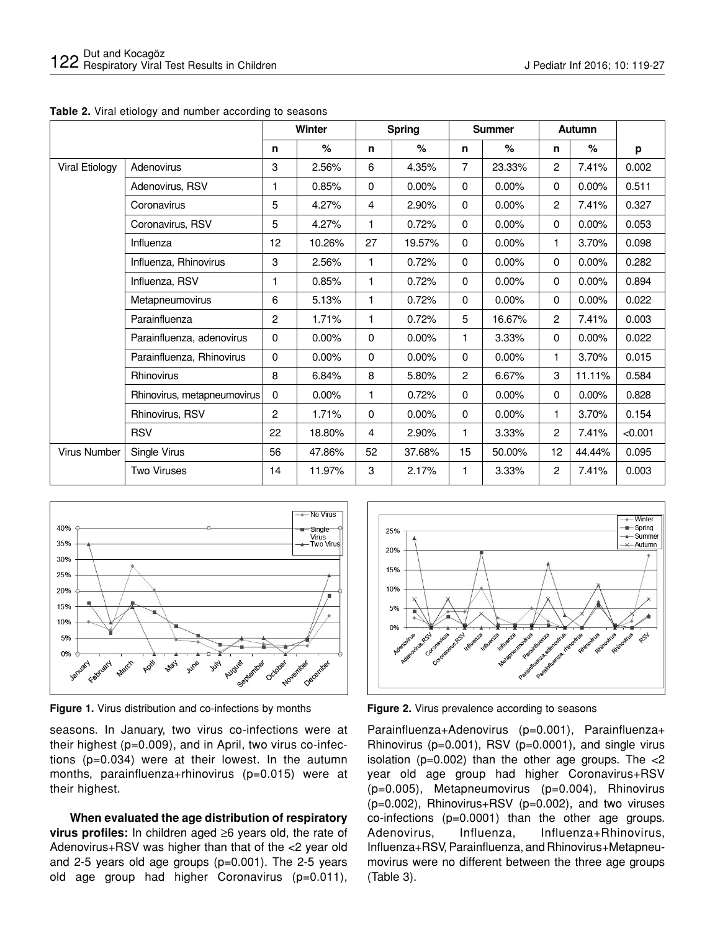|  |  |  |  |  | Table 2. Viral etiology and number according to seasons |  |  |
|--|--|--|--|--|---------------------------------------------------------|--|--|
|--|--|--|--|--|---------------------------------------------------------|--|--|

|                       |                             | Winter |          | <b>Spring</b> |          | <b>Summer</b>  |          | Autumn         |          |         |
|-----------------------|-----------------------------|--------|----------|---------------|----------|----------------|----------|----------------|----------|---------|
|                       |                             | n      | $\%$     | n             | $\%$     | n              | $\%$     | n              | $\%$     | p       |
| <b>Viral Etiology</b> | Adenovirus                  | 3      | 2.56%    | 6             | 4.35%    | 7              | 23.33%   | $\overline{2}$ | 7.41%    | 0.002   |
|                       | Adenovirus, RSV             | 1      | 0.85%    | 0             | 0.00%    | 0              | $0.00\%$ | 0              | 0.00%    | 0.511   |
|                       | Coronavirus                 | 5      | 4.27%    | 4             | 2.90%    | 0              | $0.00\%$ | $\overline{2}$ | 7.41%    | 0.327   |
|                       | Coronavirus, RSV            | 5      | 4.27%    | 1.            | 0.72%    | 0              | $0.00\%$ | 0              | 0.00%    | 0.053   |
|                       | Influenza                   | 12     | 10.26%   | 27            | 19.57%   | 0              | $0.00\%$ | 1              | 3.70%    | 0.098   |
|                       | Influenza, Rhinovirus       | 3      | 2.56%    | 1             | 0.72%    | 0              | $0.00\%$ | $\mathbf{0}$   | 0.00%    | 0.282   |
|                       | Influenza, RSV              | 1      | 0.85%    | 1             | 0.72%    | 0              | $0.00\%$ | $\mathbf{0}$   | $0.00\%$ | 0.894   |
|                       | Metapneumovirus             | 6      | 5.13%    | 1             | 0.72%    | 0              | $0.00\%$ | $\mathbf{0}$   | $0.00\%$ | 0.022   |
|                       | Parainfluenza               | 2      | 1.71%    | 1             | 0.72%    | 5              | 16.67%   | $\overline{2}$ | 7.41%    | 0.003   |
|                       | Parainfluenza, adenovirus   | 0      | $0.00\%$ | 0             | $0.00\%$ | 1              | 3.33%    | $\mathbf{0}$   | $0.00\%$ | 0.022   |
|                       | Parainfluenza, Rhinovirus   | 0      | $0.00\%$ | $\Omega$      | 0.00%    | 0              | $0.00\%$ | 1              | 3.70%    | 0.015   |
|                       | Rhinovirus                  | 8      | 6.84%    | 8             | 5.80%    | $\overline{c}$ | 6.67%    | 3              | 11.11%   | 0.584   |
|                       | Rhinovirus, metapneumovirus | 0      | $0.00\%$ | 1             | 0.72%    | 0              | $0.00\%$ | 0              | $0.00\%$ | 0.828   |
|                       | Rhinovirus, RSV             | 2      | 1.71%    | 0             | $0.00\%$ | 0              | $0.00\%$ | 1              | 3.70%    | 0.154   |
|                       | <b>RSV</b>                  | 22     | 18.80%   | 4             | 2.90%    | 1              | 3.33%    | $\overline{2}$ | 7.41%    | < 0.001 |
| <b>Virus Number</b>   | Single Virus                | 56     | 47.86%   | 52            | 37.68%   | 15             | 50.00%   | 12             | 44.44%   | 0.095   |
|                       | <b>Two Viruses</b>          | 14     | 11.97%   | 3             | 2.17%    | $\mathbf{1}$   | 3.33%    | $\overline{2}$ | 7.41%    | 0.003   |



**Figure 1.** Virus distribution and co-infections by months **Figure 2.** Virus prevalence according to seasons

seasons. In January, two virus co-infections were at their highest (p=0.009), and in April, two virus co-infections (p=0.034) were at their lowest. In the autumn months, parainfluenza+rhinovirus (p=0.015) were at their highest.

**When evaluated the age distribution of respiratory virus profiles:** In children aged ≥6 years old, the rate of Adenovirus+RSV was higher than that of the <2 year old and 2-5 years old age groups (p=0.001). The 2-5 years old age group had higher Coronavirus (p=0.011),



Parainfluenza+Adenovirus (p=0.001), Parainfluenza+ Rhinovirus (p=0.001), RSV (p=0.0001), and single virus isolation ( $p=0.002$ ) than the other age groups. The  $<$ 2 year old age group had higher Coronavirus+RSV (p=0.005), Metapneumovirus (p=0.004), Rhinovirus (p=0.002), Rhinovirus+RSV (p=0.002), and two viruses co-infections (p=0.0001) than the other age groups. Adenovirus, Influenza, Influenza+Rhinovirus, Influenza+RSV, Parainfluenza, and Rhinovirus+Metapneumovirus were no different between the three age groups (Table 3).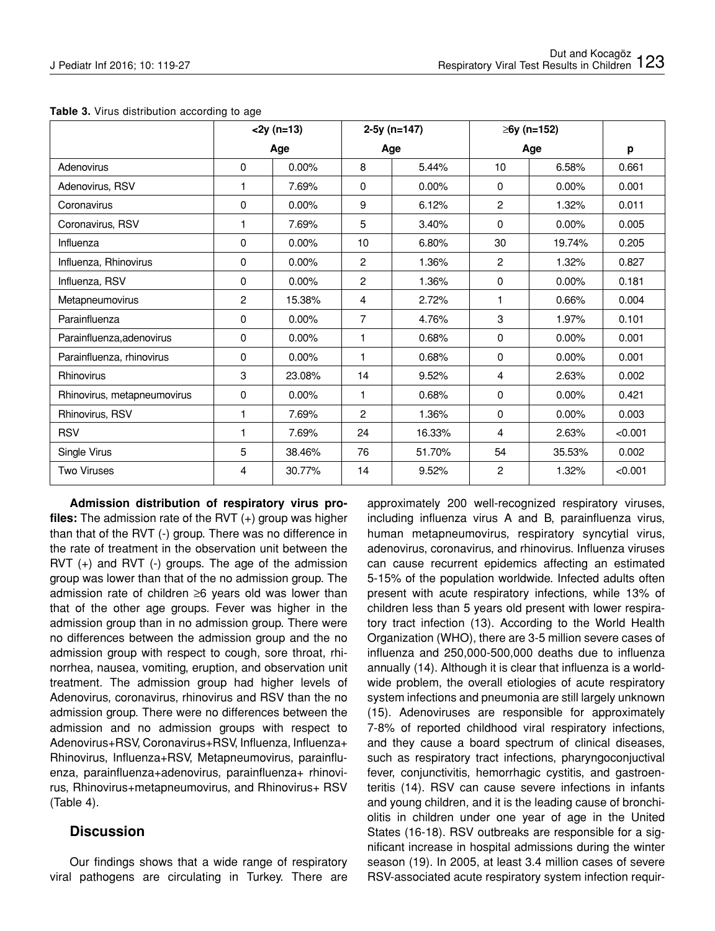|                             |                | $<$ 2y (n=13) |              | $2-5y$ (n=147) | ≥6y (n=152)    |          |         |
|-----------------------------|----------------|---------------|--------------|----------------|----------------|----------|---------|
|                             | Age            |               | Age          |                | Age            | p        |         |
| Adenovirus                  | $\Omega$       | $0.00\%$      | 8            | 5.44%          | 10             | 6.58%    | 0.661   |
| Adenovirus, RSV             | 1              | 7.69%         | 0            | $0.00\%$       | $\mathbf{0}$   | $0.00\%$ | 0.001   |
| Coronavirus                 | 0              | 0.00%         | 9            | 6.12%          | $\mathbf{2}$   | 1.32%    | 0.011   |
| Coronavirus, RSV            | 1              | 7.69%         | 5            | 3.40%          | $\mathbf 0$    | 0.00%    | 0.005   |
| Influenza                   | 0              | 0.00%         | 10           | 6.80%          | 30             | 19.74%   | 0.205   |
| Influenza, Rhinovirus       | 0              | 0.00%         | 2            | 1.36%          | $\mathbf{2}$   | 1.32%    | 0.827   |
| Influenza, RSV              | 0              | 0.00%         | $\mathbf{2}$ | 1.36%          | $\mathbf 0$    | 0.00%    | 0.181   |
| Metapneumovirus             | $\overline{2}$ | 15.38%        | 4            | 2.72%          | 1              | 0.66%    | 0.004   |
| Parainfluenza               | 0              | 0.00%         | 7            | 4.76%          | 3              | 1.97%    | 0.101   |
| Parainfluenza, adenovirus   | 0              | 0.00%         | 1            | 0.68%          | $\mathbf 0$    | $0.00\%$ | 0.001   |
| Parainfluenza, rhinovirus   | 0              | $0.00\%$      | 1            | 0.68%          | $\mathbf 0$    | $0.00\%$ | 0.001   |
| Rhinovirus                  | 3              | 23.08%        | 14           | 9.52%          | $\overline{4}$ | 2.63%    | 0.002   |
| Rhinovirus, metapneumovirus | 0              | $0.00\%$      | 1            | 0.68%          | $\mathbf 0$    | $0.00\%$ | 0.421   |
| Rhinovirus, RSV             | 1              | 7.69%         | $\mathbf{2}$ | 1.36%          | $\mathbf 0$    | $0.00\%$ | 0.003   |
| <b>RSV</b>                  | 1              | 7.69%         | 24           | 16.33%         | 4              | 2.63%    | < 0.001 |
| Single Virus                | 5              | 38.46%        | 76           | 51.70%         | 54             | 35.53%   | 0.002   |
| <b>Two Viruses</b>          | 4              | 30.77%        | 14           | 9.52%          | $\overline{c}$ | 1.32%    | < 0.001 |

**Table 3.** Virus distribution according to age

**Admission distribution of respiratory virus profiles:** The admission rate of the RVT (+) group was higher than that of the RVT (-) group. There was no difference in the rate of treatment in the observation unit between the RVT (+) and RVT (-) groups. The age of the admission group was lower than that of the no admission group. The admission rate of children ≥6 years old was lower than that of the other age groups. Fever was higher in the admission group than in no admission group. There were no differences between the admission group and the no admission group with respect to cough, sore throat, rhinorrhea, nausea, vomiting, eruption, and observation unit treatment. The admission group had higher levels of Adenovirus, coronavirus, rhinovirus and RSV than the no admission group. There were no differences between the admission and no admission groups with respect to Adenovirus+RSV, Coronavirus+RSV, Influenza, Influenza+ Rhinovirus, Influenza+RSV, Metapneumovirus, parainfluenza, parainfluenza+adenovirus, parainfluenza+ rhinovirus, Rhinovirus+metapneumovirus, and Rhinovirus+ RSV (Table 4).

### **Discussion**

Our findings shows that a wide range of respiratory viral pathogens are circulating in Turkey. There are approximately 200 well-recognized respiratory viruses, including influenza virus A and B, parainfluenza virus, human metapneumovirus, respiratory syncytial virus, adenovirus, coronavirus, and rhinovirus. Influenza viruses can cause recurrent epidemics affecting an estimated 5-15% of the population worldwide. Infected adults often present with acute respiratory infections, while 13% of children less than 5 years old present with lower respiratory tract infection (13). According to the World Health Organization (WHO), there are 3-5 million severe cases of influenza and 250,000-500,000 deaths due to influenza annually (14). Although it is clear that influenza is a worldwide problem, the overall etiologies of acute respiratory system infections and pneumonia are still largely unknown (15). Adenoviruses are responsible for approximately 7-8% of reported childhood viral respiratory infections, and they cause a board spectrum of clinical diseases, such as respiratory tract infections, pharyngoconjuctival fever, conjunctivitis, hemorrhagic cystitis, and gastroenteritis (14). RSV can cause severe infections in infants and young children, and it is the leading cause of bronchiolitis in children under one year of age in the United States (16-18). RSV outbreaks are responsible for a significant increase in hospital admissions during the winter season (19). In 2005, at least 3.4 million cases of severe RSV-associated acute respiratory system infection requir-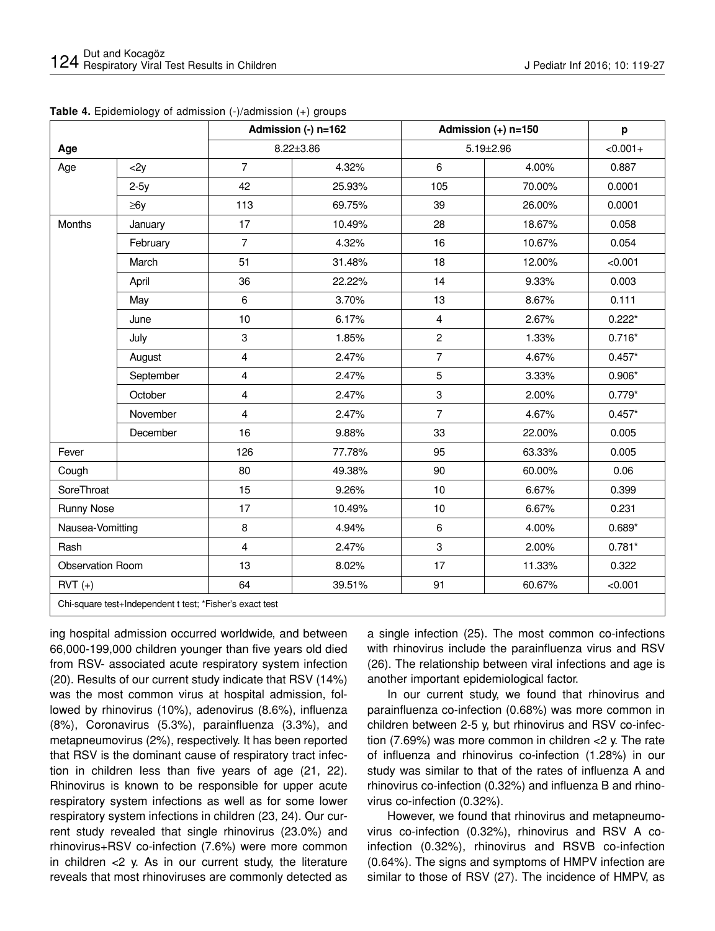|                  | Admission (-) n=162                                      |                         |           | Admission $(+)$ n=150 | p         |          |
|------------------|----------------------------------------------------------|-------------------------|-----------|-----------------------|-----------|----------|
| Age              |                                                          |                         | 8.22±3.86 | $5.19 \pm 2.96$       | $<0.001+$ |          |
| Age              | 2y                                                       | $\overline{7}$          | 4.32%     | 6                     | 4.00%     | 0.887    |
|                  | $2-5y$                                                   | 42                      | 25.93%    | 105                   | 70.00%    | 0.0001   |
|                  | $\geq 6$ y                                               | 113                     | 69.75%    | 39                    | 26.00%    | 0.0001   |
| Months           | January                                                  | 17                      | 10.49%    | 28                    | 18.67%    | 0.058    |
|                  | February                                                 | $\overline{7}$          | 4.32%     | 16                    | 10.67%    | 0.054    |
|                  | March                                                    | 51                      | 31.48%    | 18                    | 12.00%    | < 0.001  |
|                  | April                                                    | 36                      | 22.22%    | 14                    | 9.33%     | 0.003    |
|                  | May                                                      | 6                       | 3.70%     | 13                    | 8.67%     | 0.111    |
|                  | June                                                     | 10                      | 6.17%     | 4                     | 2.67%     | $0.222*$ |
|                  | July                                                     | 3                       | 1.85%     | $\overline{2}$        | 1.33%     | $0.716*$ |
|                  | August                                                   | $\overline{4}$          | 2.47%     | $\overline{7}$        | 4.67%     | $0.457*$ |
|                  | September                                                | $\overline{\mathbf{4}}$ | 2.47%     | $\overline{5}$        | 3.33%     | $0.906*$ |
|                  | October                                                  | 4                       | 2.47%     | $\mathsf 3$           | 2.00%     | $0.779*$ |
|                  | November                                                 | 4                       | 2.47%     | $\overline{7}$        | 4.67%     | $0.457*$ |
|                  | December                                                 | 16                      | 9.88%     | 33                    | 22.00%    | 0.005    |
| Fever            |                                                          | 126                     | 77.78%    | 95                    | 63.33%    | 0.005    |
| Cough            |                                                          | 80                      | 49.38%    | 90                    | 60.00%    | 0.06     |
| SoreThroat       |                                                          | 15                      | 9.26%     | 10                    | 6.67%     | 0.399    |
| Runny Nose       |                                                          | 17                      | 10.49%    | 6.67%<br>10           |           | 0.231    |
| Nausea-Vomitting |                                                          | 8                       | 4.94%     | 6                     | 4.00%     | $0.689*$ |
| Rash             |                                                          | $\overline{4}$          | 2.47%     | $\mathbf{3}$          | 2.00%     | $0.781*$ |
| Observation Room |                                                          | 13                      | 8.02%     | 17                    | 11.33%    | 0.322    |
| $RVT (+)$        |                                                          | 64                      | 39.51%    | 91                    | 60.67%    | < 0.001  |
|                  | Chi-square test+Independent t test; *Fisher's exact test |                         |           |                       |           |          |

**Table 4.** Epidemiology of admission (-)/admission (+) groups

ing hospital admission occurred worldwide, and between 66,000-199,000 children younger than five years old died from RSV- associated acute respiratory system infection (20). Results of our current study indicate that RSV (14%) was the most common virus at hospital admission, followed by rhinovirus (10%), adenovirus (8.6%), influenza (8%), Coronavirus (5.3%), parainfluenza (3.3%), and metapneumovirus (2%), respectively. It has been reported that RSV is the dominant cause of respiratory tract infection in children less than five years of age (21, 22). Rhinovirus is known to be responsible for upper acute respiratory system infections as well as for some lower respiratory system infections in children (23, 24). Our current study revealed that single rhinovirus (23.0%) and rhinovirus+RSV co-infection (7.6%) were more common in children  $<$ 2 y. As in our current study, the literature reveals that most rhinoviruses are commonly detected as a single infection (25). The most common co-infections with rhinovirus include the parainfluenza virus and RSV (26). The relationship between viral infections and age is another important epidemiological factor.

In our current study, we found that rhinovirus and parainfluenza co-infection (0.68%) was more common in children between 2-5 y, but rhinovirus and RSV co-infection (7.69%) was more common in children <2 y. The rate of influenza and rhinovirus co-infection (1.28%) in our study was similar to that of the rates of influenza A and rhinovirus co-infection (0.32%) and influenza B and rhinovirus co-infection (0.32%).

However, we found that rhinovirus and metapneumovirus co-infection (0.32%), rhinovirus and RSV A coinfection (0.32%), rhinovirus and RSVB co-infection (0.64%). The signs and symptoms of HMPV infection are similar to those of RSV (27). The incidence of HMPV, as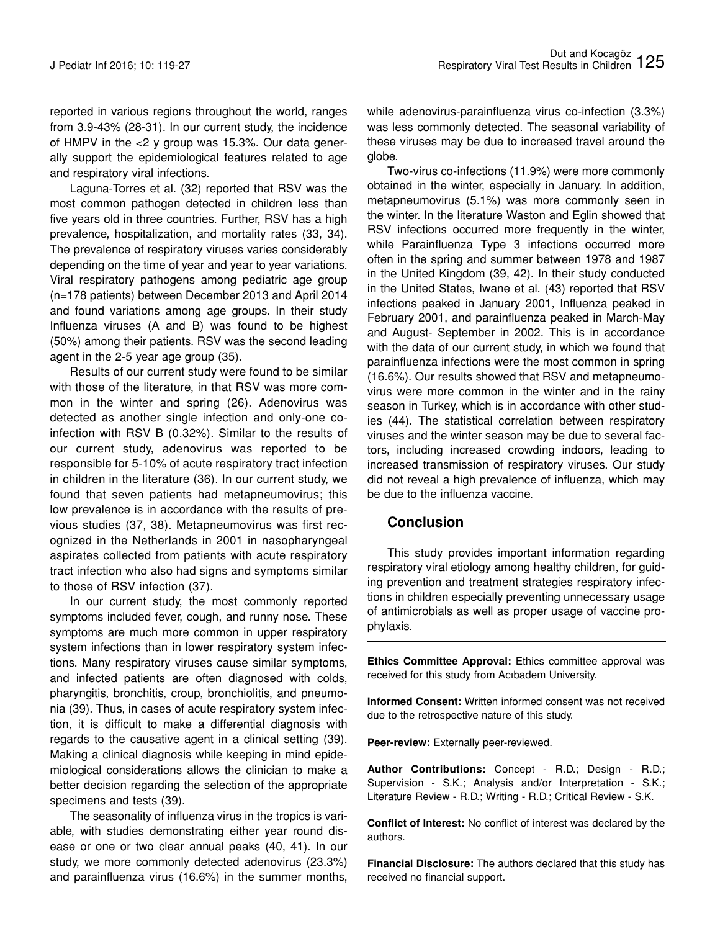reported in various regions throughout the world, ranges from 3.9-43% (28-31). In our current study, the incidence of HMPV in the <2 y group was 15.3%. Our data generally support the epidemiological features related to age and respiratory viral infections.

Laguna-Torres et al. (32) reported that RSV was the most common pathogen detected in children less than five years old in three countries. Further, RSV has a high prevalence, hospitalization, and mortality rates (33, 34). The prevalence of respiratory viruses varies considerably depending on the time of year and year to year variations. Viral respiratory pathogens among pediatric age group (n=178 patients) between December 2013 and April 2014 and found variations among age groups. In their study Influenza viruses (A and B) was found to be highest (50%) among their patients. RSV was the second leading agent in the 2-5 year age group (35).

Results of our current study were found to be similar with those of the literature, in that RSV was more common in the winter and spring (26). Adenovirus was detected as another single infection and only-one coinfection with RSV B (0.32%). Similar to the results of our current study, adenovirus was reported to be responsible for 5-10% of acute respiratory tract infection in children in the literature (36). In our current study, we found that seven patients had metapneumovirus; this low prevalence is in accordance with the results of previous studies (37, 38). Metapneumovirus was first recognized in the Netherlands in 2001 in nasopharyngeal aspirates collected from patients with acute respiratory tract infection who also had signs and symptoms similar to those of RSV infection (37).

In our current study, the most commonly reported symptoms included fever, cough, and runny nose. These symptoms are much more common in upper respiratory system infections than in lower respiratory system infections. Many respiratory viruses cause similar symptoms, and infected patients are often diagnosed with colds, pharyngitis, bronchitis, croup, bronchiolitis, and pneumonia (39). Thus, in cases of acute respiratory system infection, it is difficult to make a differential diagnosis with regards to the causative agent in a clinical setting (39). Making a clinical diagnosis while keeping in mind epidemiological considerations allows the clinician to make a better decision regarding the selection of the appropriate specimens and tests (39).

The seasonality of influenza virus in the tropics is variable, with studies demonstrating either year round disease or one or two clear annual peaks (40, 41). In our study, we more commonly detected adenovirus (23.3%) and parainfluenza virus (16.6%) in the summer months,

while adenovirus-parainfluenza virus co-infection (3.3%) was less commonly detected. The seasonal variability of these viruses may be due to increased travel around the globe.

Two-virus co-infections (11.9%) were more commonly obtained in the winter, especially in January. In addition, metapneumovirus (5.1%) was more commonly seen in the winter. In the literature Waston and Eglin showed that RSV infections occurred more frequently in the winter, while Parainfluenza Type 3 infections occurred more often in the spring and summer between 1978 and 1987 in the United Kingdom (39, 42). In their study conducted in the United States, Iwane et al. (43) reported that RSV infections peaked in January 2001, Influenza peaked in February 2001, and parainfluenza peaked in March-May and August- September in 2002. This is in accordance with the data of our current study, in which we found that parainfluenza infections were the most common in spring (16.6%). Our results showed that RSV and metapneumovirus were more common in the winter and in the rainy season in Turkey, which is in accordance with other studies (44). The statistical correlation between respiratory viruses and the winter season may be due to several factors, including increased crowding indoors, leading to increased transmission of respiratory viruses. Our study did not reveal a high prevalence of influenza, which may be due to the influenza vaccine.

### **Conclusion**

This study provides important information regarding respiratory viral etiology among healthy children, for guiding prevention and treatment strategies respiratory infections in children especially preventing unnecessary usage of antimicrobials as well as proper usage of vaccine prophylaxis.

**Ethics Committee Approval:** Ethics committee approval was received for this study from Acıbadem University.

**Informed Consent:** Written informed consent was not received due to the retrospective nature of this study.

**Peer-review:** Externally peer-reviewed.

**Author Contributions:** Concept - R.D.; Design - R.D.; Supervision - S.K.; Analysis and/or Interpretation - S.K.; Literature Review - R.D.; Writing - R.D.; Critical Review - S.K.

**Conflict of Interest:** No conflict of interest was declared by the authors.

**Financial Disclosure:** The authors declared that this study has received no financial support.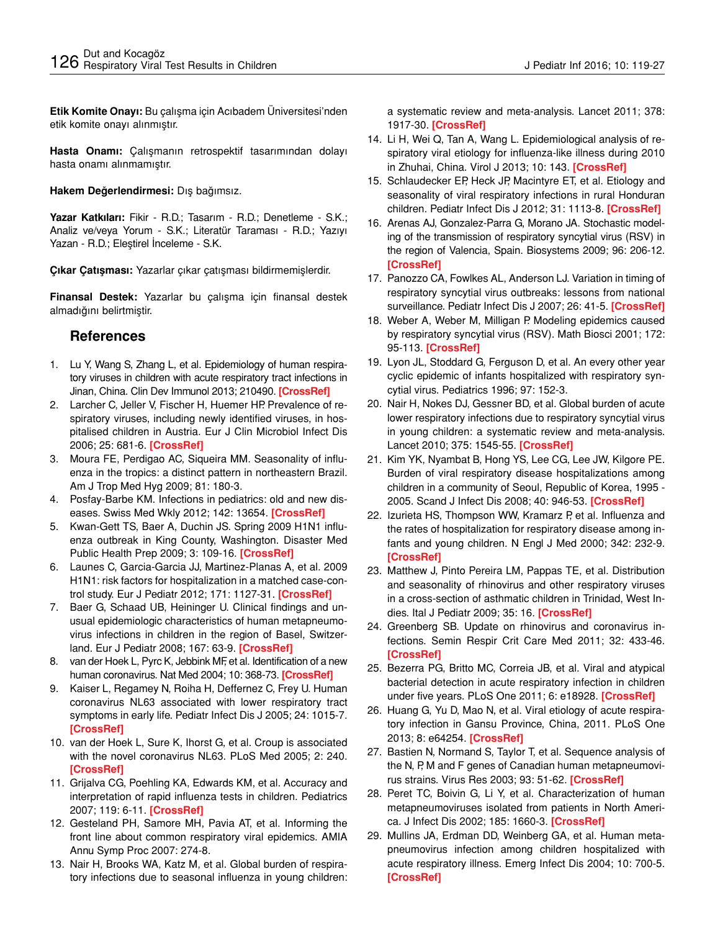**Etik Komite Onayı:** Bu çalışma için Acıbadem Üniversitesi'nden etik komite onayı alınmıştır.

**Hasta Onamı:** Çalışmanın retrospektif tasarımından dolayı hasta onamı alınmamıştır.

**Hakem Değerlendirmesi:** Dış bağımsız.

**Yazar Katkıları:** Fikir - R.D.; Tasarım - R.D.; Denetleme - S.K.; Analiz ve/veya Yorum - S.K.; Literatür Taraması - R.D.; Yazıyı Yazan - R.D.; Eleştirel İnceleme - S.K.

**Çıkar Çatışması:** Yazarlar çıkar çatışması bildirmemişlerdir.

**Finansal Destek:** Yazarlar bu çalışma için finansal destek almadığını belirtmiştir.

#### **References**

- 1. Lu Y, Wang S, Zhang L, et al. Epidemiology of human respiratory viruses in children with acute respiratory tract infections in Jinan, China. Clin Dev Immunol 2013; 210490. **[\[CrossRef\]](https://doi.org/10.1155/2013/210490)**
- 2. Larcher C, Jeller V, Fischer H, Huemer HP. Prevalence of respiratory viruses, including newly identified viruses, in hospitalised children in Austria. Eur J Clin Microbiol Infect Dis 2006; 25: 681-6. **[\[CrossRef\]](https://doi.org/10.1007/s10096-006-0214-z)**
- 3. Moura FE, Perdigao AC, Siqueira MM. Seasonality of influenza in the tropics: a distinct pattern in northeastern Brazil. Am J Trop Med Hyg 2009; 81: 180-3.
- 4. Posfay-Barbe KM. Infections in pediatrics: old and new diseases. Swiss Med Wkly 2012; 142: 13654. **[\[CrossRef\]](https://doi.org/10.4414/smw.2012.13654)**
- 5. Kwan-Gett TS, Baer A, Duchin JS. Spring 2009 H1N1 influenza outbreak in King County, Washington. Disaster Med Public Health Prep 2009; 3: 109-16. **[\[CrossRef\]](https://doi.org/10.1097/DMP.0b013e3181c6b818)**
- 6. Launes C, Garcia-Garcia JJ, Martinez-Planas A, et al. 2009 H1N1: risk factors for hospitalization in a matched case-control study. Eur J Pediatr 2012; 171: 1127-31. **[\[CrossRef\]](https://doi.org/10.1007/s00431-012-1716-6)**
- 7. Baer G, Schaad UB, Heininger U. Clinical findings and unusual epidemiologic characteristics of human metapneumovirus infections in children in the region of Basel, Switzerland. Eur J Pediatr 2008; 167: 63-9. **[\[CrossRef\]](https://doi.org/10.1007/s00431-007-0427-x)**
- 8. van der Hoek L, Pyrc K, Jebbink MF, et al. Identification of a new human coronavirus. Nat Med 2004; 10: 368-73. **[\[CrossRef\]](https://doi.org/10.1038/nm1024)**
- 9. Kaiser L, Regamey N, Roiha H, Deffernez C, Frey U. Human coronavirus NL63 associated with lower respiratory tract symptoms in early life. Pediatr Infect Dis J 2005; 24: 1015-7. **[\[CrossRef\]](https://doi.org/10.1097/01.inf.0000183773.80217.12)**
- 10. van der Hoek L, Sure K, Ihorst G, et al. Croup is associated with the novel coronavirus NL63. PLoS Med 2005; 2: 240. **[\[CrossRef\]](https://doi.org/10.1371/journal.pmed.0020240)**
- 11. Grijalva CG, Poehling KA, Edwards KM, et al. Accuracy and interpretation of rapid influenza tests in children. Pediatrics 2007; 119: 6-11. **[\[CrossRef\]](https://doi.org/10.1542/peds.2006-1694)**
- 12. Gesteland PH, Samore MH, Pavia AT, et al. Informing the front line about common respiratory viral epidemics. AMIA Annu Symp Proc 2007: 274-8.
- 13. Nair H, Brooks WA, Katz M, et al. Global burden of respiratory infections due to seasonal influenza in young children:

a systematic review and meta-analysis. Lancet 2011; 378: 1917-30. **[\[CrossRef\]](https://doi.org/10.1016/S0140-6736(11)61051-9)**

- 14. Li H, Wei Q, Tan A, Wang L. Epidemiological analysis of respiratory viral etiology for influenza-like illness during 2010 in Zhuhai, China. Virol J 2013; 10: 143. **[\[CrossRef\]](https://doi.org/10.1186/1743-422X-10-143)**
- 15. Schlaudecker EP, Heck JP, Macintyre ET, et al. Etiology and seasonality of viral respiratory infections in rural Honduran children. Pediatr Infect Dis J 2012; 31: 1113-8. **[\[CrossRef\]](https://doi.org/10.1097/INF.0b013e31826052eb)**
- 16. Arenas AJ, Gonzalez-Parra G, Morano JA. Stochastic modeling of the transmission of respiratory syncytial virus (RSV) in the region of Valencia, Spain. Biosystems 2009; 96: 206-12. **[\[CrossRef\]](https://doi.org/10.1016/j.biosystems.2009.01.007)**
- 17. Panozzo CA, Fowlkes AL, Anderson LJ. Variation in timing of respiratory syncytial virus outbreaks: lessons from national surveillance. Pediatr Infect Dis J 2007; 26: 41-5. **[\[CrossRef\]](https://doi.org/10.1097/INF.0b013e318157da82)**
- 18. Weber A, Weber M, Milligan P. Modeling epidemics caused by respiratory syncytial virus (RSV). Math Biosci 2001; 172: 95-113. **[\[CrossRef\]](https://doi.org/10.1016/S0025-5564(01)00066-9)**
- 19. Lyon JL, Stoddard G, Ferguson D, et al. An every other year cyclic epidemic of infants hospitalized with respiratory syncytial virus. Pediatrics 1996; 97: 152-3.
- 20. Nair H, Nokes DJ, Gessner BD, et al. Global burden of acute lower respiratory infections due to respiratory syncytial virus in young children: a systematic review and meta-analysis. Lancet 2010; 375: 1545-55. **[\[CrossRef\]](https://doi.org/10.1016/S0140-6736(10)60206-1)**
- 21. Kim YK, Nyambat B, Hong YS, Lee CG, Lee JW, Kilgore PE. Burden of viral respiratory disease hospitalizations among children in a community of Seoul, Republic of Korea, 1995 - 2005. Scand J Infect Dis 2008; 40: 946-53. **[\[CrossRef\]](https://doi.org/10.1080/00365540802398937)**
- 22. Izurieta HS, Thompson WW, Kramarz P, et al. Influenza and the rates of hospitalization for respiratory disease among infants and young children. N Engl J Med 2000; 342: 232-9. **[\[CrossRef\]](https://doi.org/10.1056/NEJM200001273420402)**
- 23. Matthew J, Pinto Pereira LM, Pappas TE, et al. Distribution and seasonality of rhinovirus and other respiratory viruses in a cross-section of asthmatic children in Trinidad, West Indies. Ital J Pediatr 2009; 35: 16. **[\[CrossRef\]](https://doi.org/10.1186/1824-7288-35-16)**
- 24. Greenberg SB. Update on rhinovirus and coronavirus infections. Semin Respir Crit Care Med 2011; 32: 433-46. **[\[CrossRef\]](https://doi.org/10.1055/s-0031-1283283)**
- 25. Bezerra PG, Britto MC, Correia JB, et al. Viral and atypical bacterial detection in acute respiratory infection in children under five years. PLoS One 2011; 6: e18928. **[\[CrossRef\]](https://doi.org/10.1371/journal.pone.0018928)**
- 26. Huang G, Yu D, Mao N, et al. Viral etiology of acute respiratory infection in Gansu Province, China, 2011. PLoS One 2013; 8: e64254. **[\[CrossRef\]](https://doi.org/10.1371/journal.pone.0064254)**
- 27. Bastien N, Normand S, Taylor T, et al. Sequence analysis of the N, P, M and F genes of Canadian human metapneumovirus strains. Virus Res 2003; 93: 51-62. **[\[CrossRef\]](https://doi.org/10.1016/S0168-1702(03)00065-0)**
- 28. Peret TC, Boivin G, Li Y, et al. Characterization of human metapneumoviruses isolated from patients in North America. J Infect Dis 2002; 185: 1660-3. **[\[CrossRef\]](https://doi.org/10.1086/340518)**
- 29. Mullins JA, Erdman DD, Weinberg GA, et al. Human metapneumovirus infection among children hospitalized with acute respiratory illness. Emerg Infect Dis 2004; 10: 700-5. **[\[CrossRef\]](https://doi.org/10.3201/eid1004.030555)**